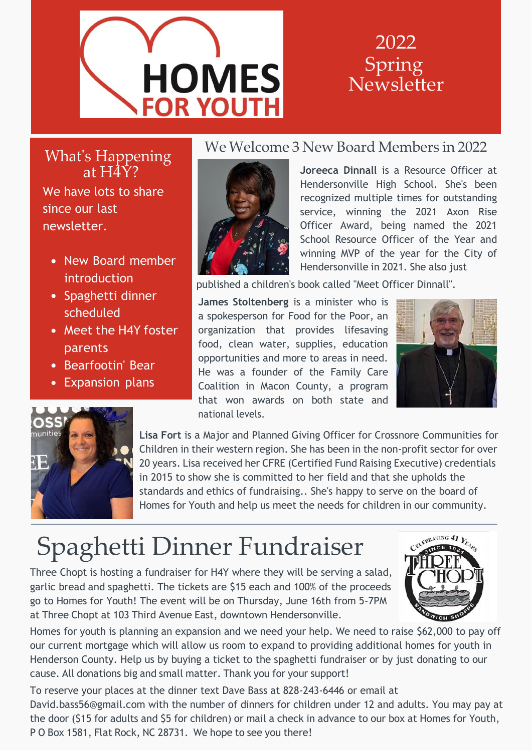

#### 2022 Spring Newsletter

What's Happening at H4Y? We have lots to share since our last

newsletter.

- New Board member introduction
- Spaghetti dinner scheduled
- Meet the H4Y foster parents
- Bearfootin' Bear
- Expansion plans



#### We Welcome 3 New Board Members in 2022

**Joreeca Dinnall** is a Resource Officer at Hendersonville High School. She's been recognized multiple times for outstanding service, winning the 2021 Axon Rise Officer Award, being named the 2021 School Resource Officer of the Year and winning MVP of the year for the City of Hendersonville in 2021. She also just

published a children's book called "Meet Officer Dinnall".

**James Stoltenberg** is a minister who is a spokesperson for Food for the Poor, an organization that provides lifesaving food, clean water, supplies, education opportunities and more to areas in need. He was a founder of the Family Care Coalition in Macon County, a program that won awards on both state and national levels.





**Lisa Fort** is a Major and Planned Giving Officer for Crossnore Communities for Children in their western region. She has been in the non-profit sector for over 20 years. Lisa received her CFRE (Certified Fund Raising Executive) credentials in 2015 to show she is committed to her field and that she upholds the standards and ethics of fundraising.. She's happy to serve on the board of Homes for Youth and help us meet the needs for children in our community.

# Spaghetti Dinner Fundraiser

Three Chopt is hosting a fundraiser for H4Y where they will be serving a salad, garlic bread and spaghetti. The tickets are \$15 each and 100% of the proceeds go to Homes for Youth! The event will be on Thursday, June 16th from 5-7PM at Three Chopt at 103 Third Avenue East, downtown Hendersonville.



Homes for youth is planning an expansion and we need your help. We need to raise \$62,000 to pay off our current mortgage which will allow us room to expand to providing additional homes for youth in Henderson County. Help us by buying a ticket to the spaghetti fundraiser or by just donating to our cause. All donations big and small matter. Thank you for your support!

To reserve your places at the dinner text Dave Bass at 828-243-6446 or email at [David.bass56@gmail.com w](mailto:David.bass56@gmail.com)ith the number of dinners for children under 12 and adults. You may pay at the door (\$15 for adults and \$5 for children) or mail a check in advance to our box at Homes for Youth, P O Box 1581, Flat Rock, NC 28731. We hope to see you there!